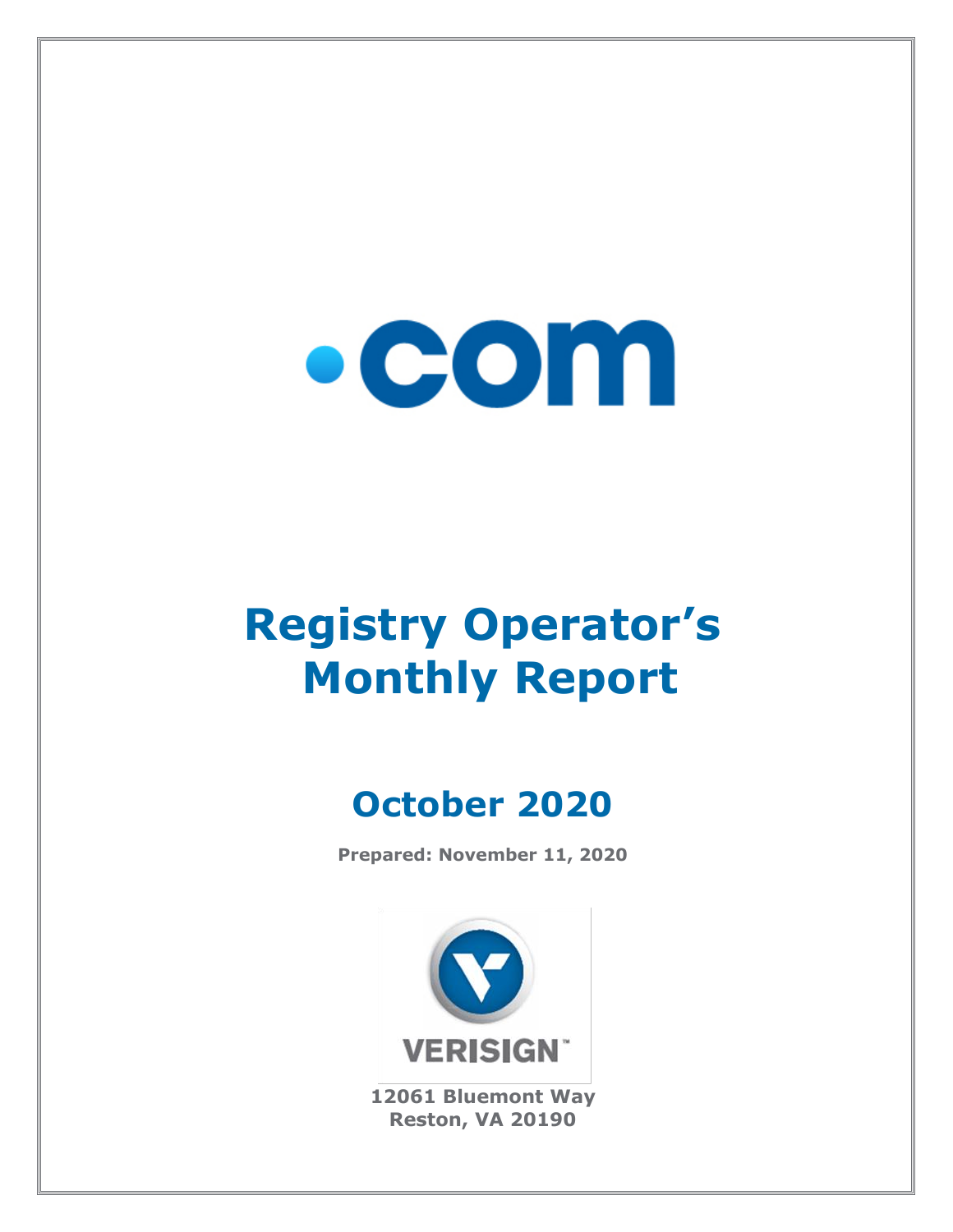

# **Registry Operator's Monthly Report**

# **October 2020**

**Prepared: November 11, 2020**



**12061 Bluemont Way Reston, VA 20190**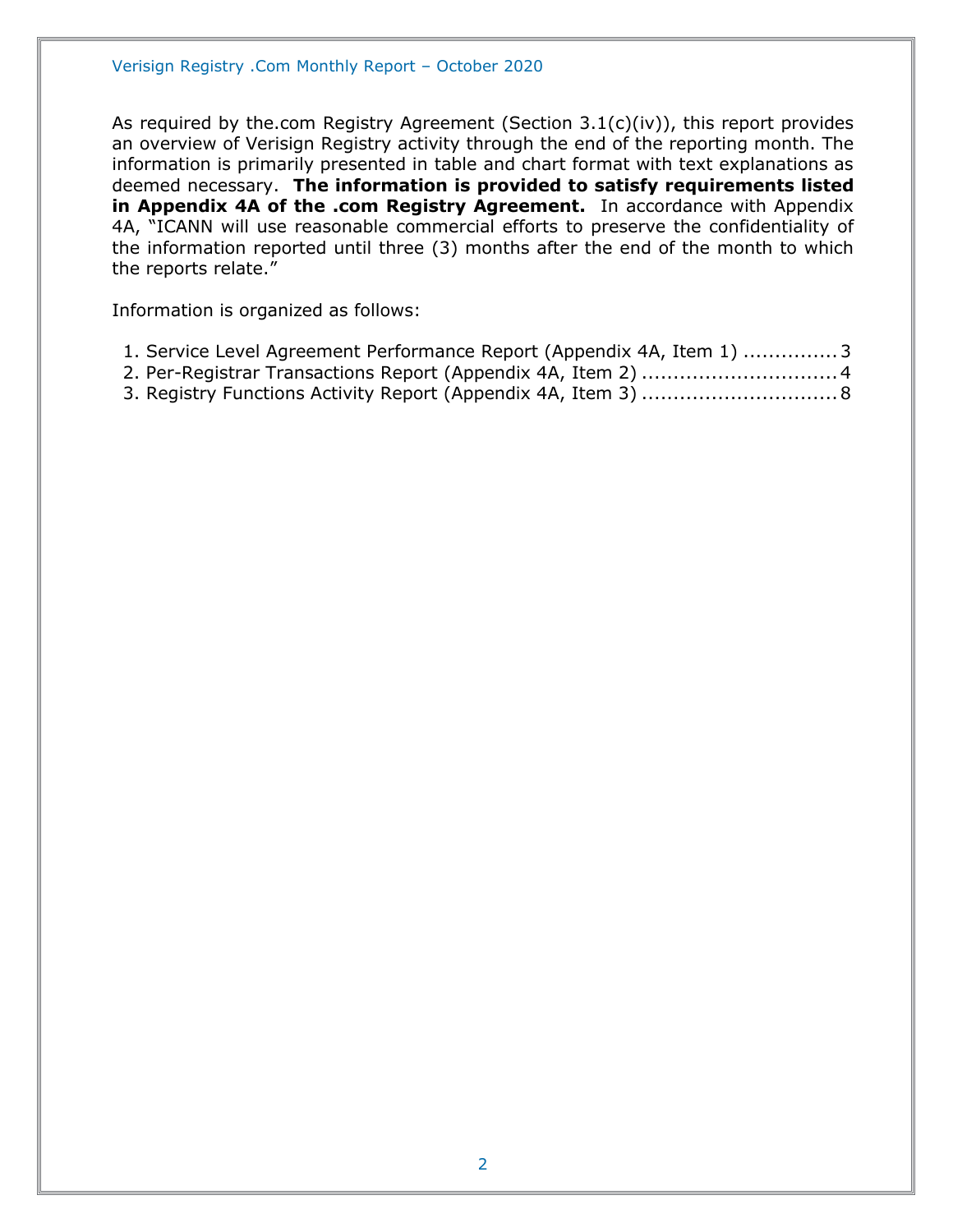As required by the.com Registry Agreement (Section 3.1(c)(iv)), this report provides an overview of Verisign Registry activity through the end of the reporting month. The information is primarily presented in table and chart format with text explanations as deemed necessary. **The information is provided to satisfy requirements listed in Appendix 4A of the .com Registry Agreement.** In accordance with Appendix 4A, "ICANN will use reasonable commercial efforts to preserve the confidentiality of the information reported until three (3) months after the end of the month to which the reports relate."

Information is organized as follows:

- [1. Service Level Agreement Performance Report \(Appendix 4A, Item 1\)](#page-2-0) ...............3
- [2. Per-Registrar Transactions Report \(Appendix 4A,](#page-3-0) Item 2) ...............................4
- [3. Registry Functions Activity Report \(Appendix 4A, Item 3\)](#page-7-0) ...............................8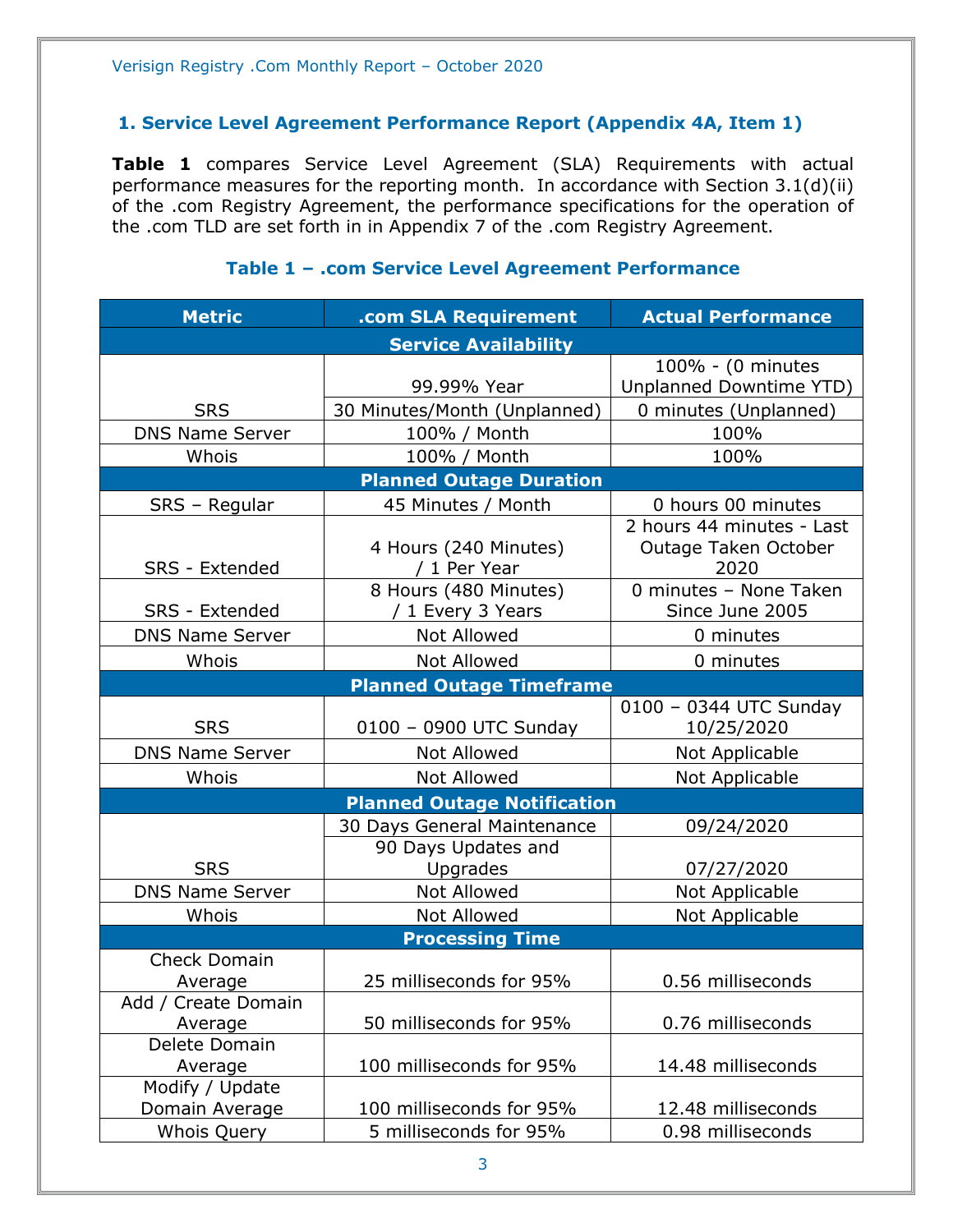#### <span id="page-2-0"></span>**1. Service Level Agreement Performance Report (Appendix 4A, Item 1)**

**Table 1** compares Service Level Agreement (SLA) Requirements with actual performance measures for the reporting month. In accordance with Section 3.1(d)(ii) of the .com Registry Agreement, the performance specifications for the operation of the .com TLD are set forth in in Appendix 7 of the .com Registry Agreement.

| <b>Metric</b>          | .com SLA Requirement               | <b>Actual Performance</b>      |
|------------------------|------------------------------------|--------------------------------|
|                        | <b>Service Availability</b>        |                                |
|                        |                                    | 100% - (0 minutes              |
|                        | 99.99% Year                        | <b>Unplanned Downtime YTD)</b> |
| <b>SRS</b>             | 30 Minutes/Month (Unplanned)       | 0 minutes (Unplanned)          |
| <b>DNS Name Server</b> | 100% / Month                       | 100%                           |
| Whois                  | 100% / Month                       | 100%                           |
|                        | <b>Planned Outage Duration</b>     |                                |
| SRS - Regular          | 45 Minutes / Month                 | 0 hours 00 minutes             |
|                        |                                    | 2 hours 44 minutes - Last      |
|                        | 4 Hours (240 Minutes)              | Outage Taken October           |
| SRS - Extended         | / 1 Per Year                       | 2020                           |
|                        | 8 Hours (480 Minutes)              | 0 minutes - None Taken         |
| <b>SRS</b> - Extended  | / 1 Every 3 Years                  | Since June 2005                |
| <b>DNS Name Server</b> | <b>Not Allowed</b>                 | 0 minutes                      |
| Whois                  | <b>Not Allowed</b>                 | 0 minutes                      |
|                        | <b>Planned Outage Timeframe</b>    |                                |
|                        |                                    | 0100 - 0344 UTC Sunday         |
| <b>SRS</b>             | 0100 - 0900 UTC Sunday             | 10/25/2020                     |
| <b>DNS Name Server</b> | <b>Not Allowed</b>                 | Not Applicable                 |
| Whois                  | <b>Not Allowed</b>                 | Not Applicable                 |
|                        | <b>Planned Outage Notification</b> |                                |
|                        | 30 Days General Maintenance        | 09/24/2020                     |
|                        | 90 Days Updates and                |                                |
| <b>SRS</b>             | Upgrades                           | 07/27/2020                     |
| <b>DNS Name Server</b> | Not Allowed                        | Not Applicable                 |
| Whois                  | Not Allowed                        | Not Applicable                 |
|                        | <b>Processing Time</b>             |                                |
| <b>Check Domain</b>    |                                    |                                |
| Average                | 25 milliseconds for 95%            | 0.56 milliseconds              |
| Add / Create Domain    |                                    |                                |
| Average                | 50 milliseconds for 95%            | 0.76 milliseconds              |
| Delete Domain          |                                    |                                |
| Average                | 100 milliseconds for 95%           | 14.48 milliseconds             |
| Modify / Update        |                                    |                                |
| Domain Average         | 100 milliseconds for 95%           | 12.48 milliseconds             |
| <b>Whois Query</b>     | 5 milliseconds for 95%             | 0.98 milliseconds              |

#### **Table 1 – .com Service Level Agreement Performance**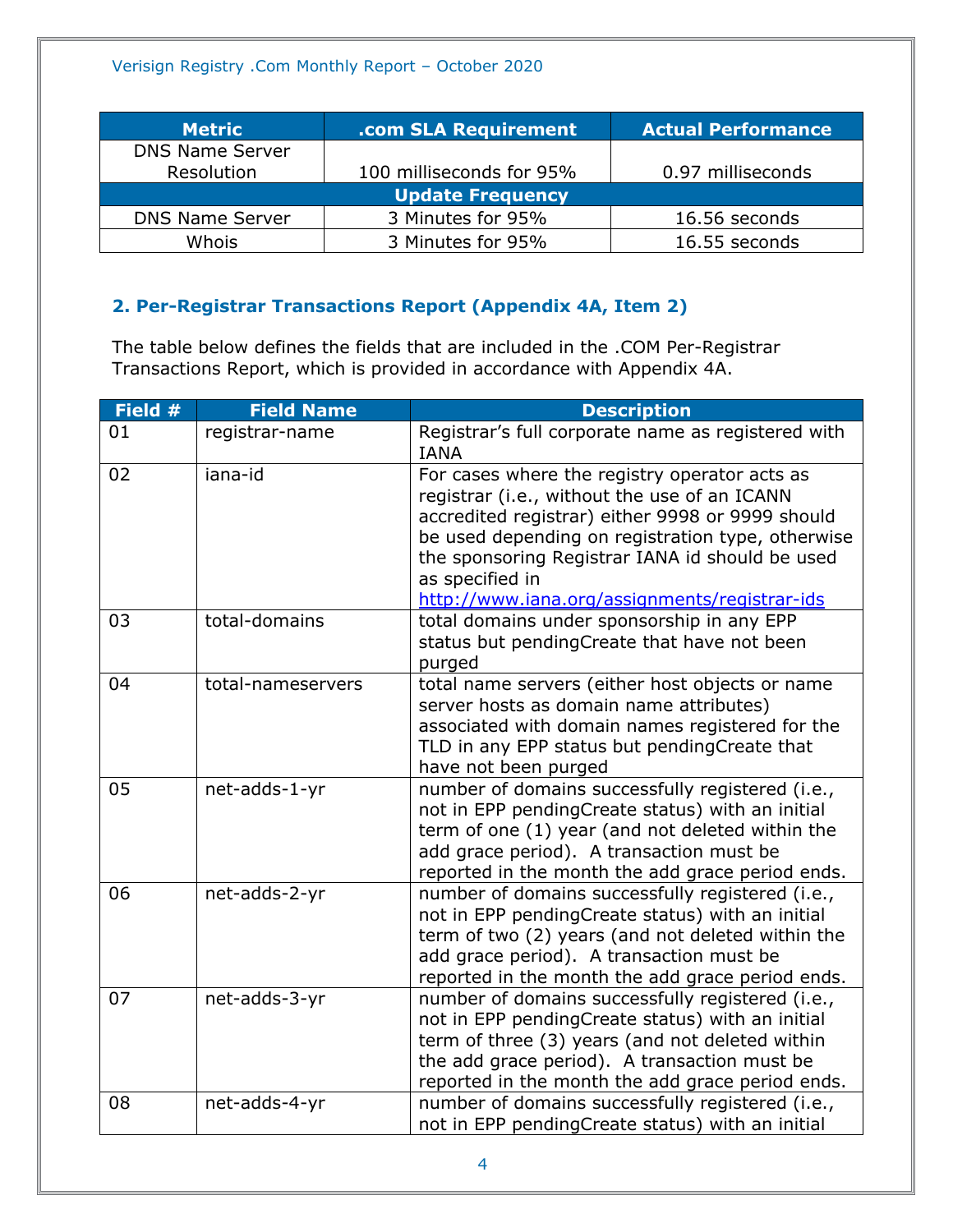| <b>Metric</b>          | .com SLA Requirement     | <b>Actual Performance</b> |
|------------------------|--------------------------|---------------------------|
| <b>DNS Name Server</b> |                          |                           |
| Resolution             | 100 milliseconds for 95% | 0.97 milliseconds         |
|                        | <b>Update Frequency</b>  |                           |
| <b>DNS Name Server</b> | 3 Minutes for 95%        | 16.56 seconds             |
| Whois                  | 3 Minutes for 95%        | 16.55 seconds             |

# <span id="page-3-0"></span>**2. Per-Registrar Transactions Report (Appendix 4A, Item 2)**

The table below defines the fields that are included in the .COM Per-Registrar Transactions Report, which is provided in accordance with Appendix 4A.

| Field # | <b>Field Name</b> | <b>Description</b>                                                                                                                                                                                                                                                                                                            |
|---------|-------------------|-------------------------------------------------------------------------------------------------------------------------------------------------------------------------------------------------------------------------------------------------------------------------------------------------------------------------------|
| 01      | registrar-name    | Registrar's full corporate name as registered with<br><b>IANA</b>                                                                                                                                                                                                                                                             |
| 02      | iana-id           | For cases where the registry operator acts as<br>registrar (i.e., without the use of an ICANN<br>accredited registrar) either 9998 or 9999 should<br>be used depending on registration type, otherwise<br>the sponsoring Registrar IANA id should be used<br>as specified in<br>http://www.iana.org/assignments/registrar-ids |
| 03      | total-domains     | total domains under sponsorship in any EPP<br>status but pendingCreate that have not been<br>purged                                                                                                                                                                                                                           |
| 04      | total-nameservers | total name servers (either host objects or name<br>server hosts as domain name attributes)<br>associated with domain names registered for the<br>TLD in any EPP status but pendingCreate that<br>have not been purged                                                                                                         |
| 05      | net-adds-1-yr     | number of domains successfully registered (i.e.,<br>not in EPP pendingCreate status) with an initial<br>term of one (1) year (and not deleted within the<br>add grace period). A transaction must be<br>reported in the month the add grace period ends.                                                                      |
| 06      | net-adds-2-yr     | number of domains successfully registered (i.e.,<br>not in EPP pendingCreate status) with an initial<br>term of two (2) years (and not deleted within the<br>add grace period). A transaction must be<br>reported in the month the add grace period ends.                                                                     |
| 07      | net-adds-3-yr     | number of domains successfully registered (i.e.,<br>not in EPP pendingCreate status) with an initial<br>term of three (3) years (and not deleted within<br>the add grace period). A transaction must be<br>reported in the month the add grace period ends.                                                                   |
| 08      | net-adds-4-yr     | number of domains successfully registered (i.e.,<br>not in EPP pendingCreate status) with an initial                                                                                                                                                                                                                          |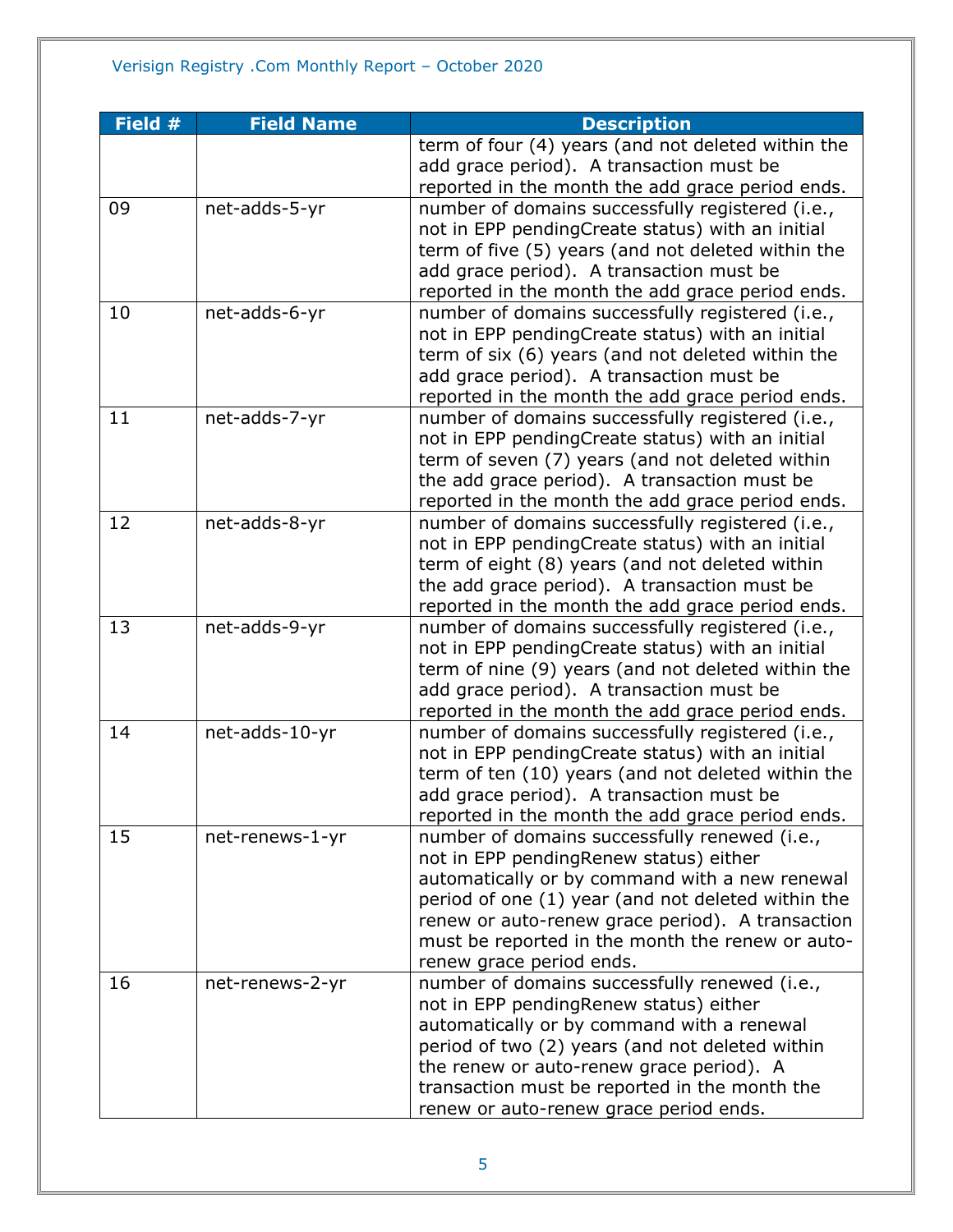| Field # | <b>Field Name</b> | <b>Description</b>                                 |
|---------|-------------------|----------------------------------------------------|
|         |                   | term of four (4) years (and not deleted within the |
|         |                   | add grace period). A transaction must be           |
|         |                   | reported in the month the add grace period ends.   |
| 09      | net-adds-5-yr     | number of domains successfully registered (i.e.,   |
|         |                   | not in EPP pendingCreate status) with an initial   |
|         |                   | term of five (5) years (and not deleted within the |
|         |                   | add grace period). A transaction must be           |
|         |                   | reported in the month the add grace period ends.   |
| 10      | net-adds-6-yr     | number of domains successfully registered (i.e.,   |
|         |                   | not in EPP pendingCreate status) with an initial   |
|         |                   | term of six (6) years (and not deleted within the  |
|         |                   | add grace period). A transaction must be           |
|         |                   | reported in the month the add grace period ends.   |
| 11      | net-adds-7-yr     | number of domains successfully registered (i.e.,   |
|         |                   | not in EPP pendingCreate status) with an initial   |
|         |                   | term of seven (7) years (and not deleted within    |
|         |                   | the add grace period). A transaction must be       |
|         |                   | reported in the month the add grace period ends.   |
| 12      | net-adds-8-yr     | number of domains successfully registered (i.e.,   |
|         |                   | not in EPP pendingCreate status) with an initial   |
|         |                   | term of eight (8) years (and not deleted within    |
|         |                   | the add grace period). A transaction must be       |
|         |                   | reported in the month the add grace period ends.   |
| 13      | net-adds-9-yr     | number of domains successfully registered (i.e.,   |
|         |                   | not in EPP pendingCreate status) with an initial   |
|         |                   | term of nine (9) years (and not deleted within the |
|         |                   | add grace period). A transaction must be           |
|         |                   | reported in the month the add grace period ends.   |
| 14      | net-adds-10-yr    | number of domains successfully registered (i.e.,   |
|         |                   | not in EPP pendingCreate status) with an initial   |
|         |                   | term of ten (10) years (and not deleted within the |
|         |                   | add grace period). A transaction must be           |
|         |                   | reported in the month the add grace period ends.   |
| 15      | net-renews-1-yr   | number of domains successfully renewed (i.e.,      |
|         |                   | not in EPP pendingRenew status) either             |
|         |                   | automatically or by command with a new renewal     |
|         |                   | period of one (1) year (and not deleted within the |
|         |                   | renew or auto-renew grace period). A transaction   |
|         |                   | must be reported in the month the renew or auto-   |
|         |                   | renew grace period ends.                           |
| 16      | net-renews-2-yr   | number of domains successfully renewed (i.e.,      |
|         |                   | not in EPP pending Renew status) either            |
|         |                   | automatically or by command with a renewal         |
|         |                   | period of two (2) years (and not deleted within    |
|         |                   | the renew or auto-renew grace period). A           |
|         |                   | transaction must be reported in the month the      |
|         |                   | renew or auto-renew grace period ends.             |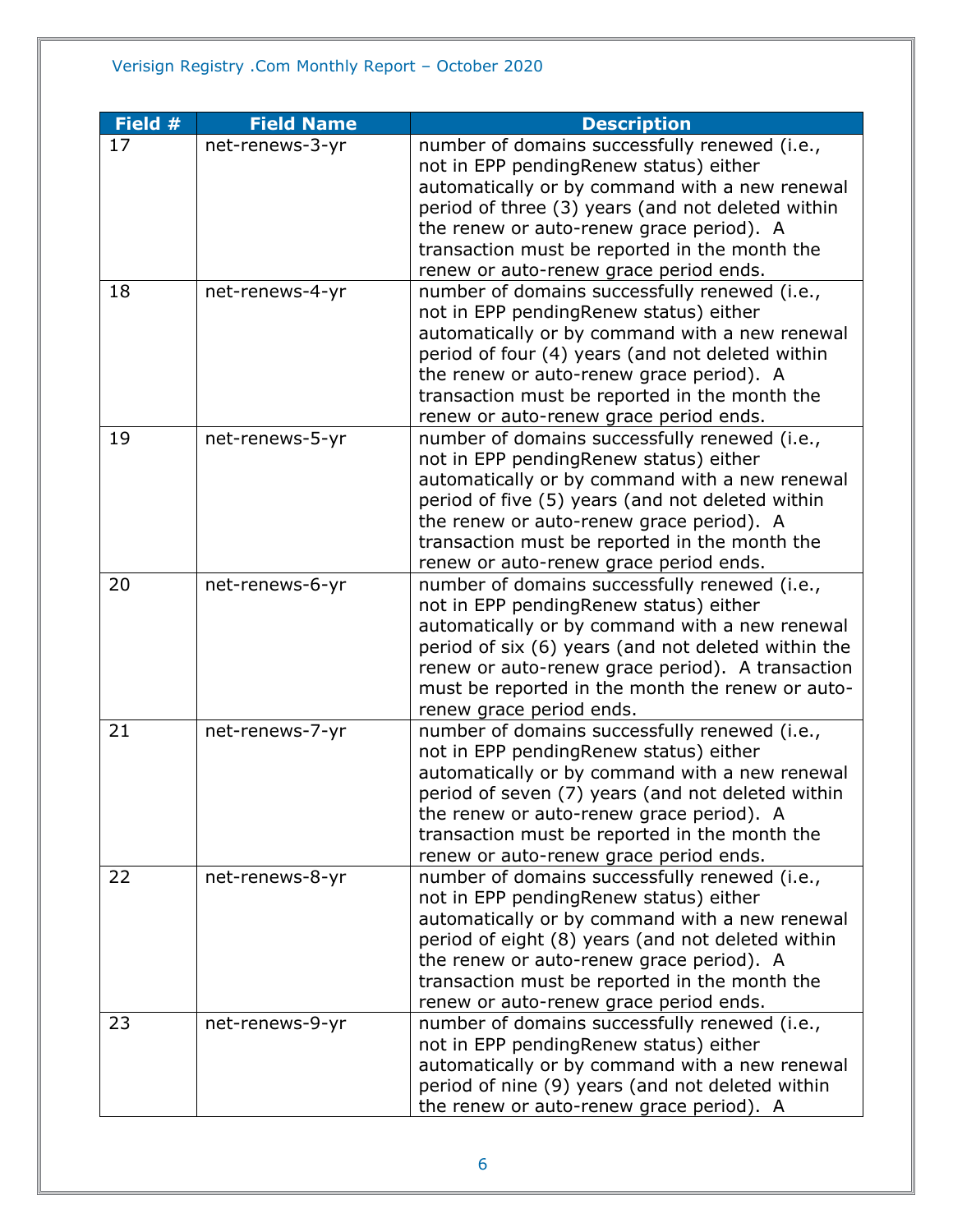| Field # | <b>Field Name</b> | <b>Description</b>                                                                      |
|---------|-------------------|-----------------------------------------------------------------------------------------|
| 17      | net-renews-3-yr   | number of domains successfully renewed (i.e.,                                           |
|         |                   | not in EPP pendingRenew status) either                                                  |
|         |                   | automatically or by command with a new renewal                                          |
|         |                   | period of three (3) years (and not deleted within                                       |
|         |                   | the renew or auto-renew grace period). A                                                |
|         |                   | transaction must be reported in the month the                                           |
|         |                   | renew or auto-renew grace period ends.                                                  |
| 18      | net-renews-4-yr   | number of domains successfully renewed (i.e.,                                           |
|         |                   | not in EPP pendingRenew status) either                                                  |
|         |                   | automatically or by command with a new renewal                                          |
|         |                   | period of four (4) years (and not deleted within                                        |
|         |                   | the renew or auto-renew grace period). A                                                |
|         |                   | transaction must be reported in the month the                                           |
|         |                   | renew or auto-renew grace period ends.                                                  |
| 19      | net-renews-5-yr   | number of domains successfully renewed (i.e.,                                           |
|         |                   | not in EPP pendingRenew status) either                                                  |
|         |                   | automatically or by command with a new renewal                                          |
|         |                   | period of five (5) years (and not deleted within                                        |
|         |                   | the renew or auto-renew grace period). A                                                |
|         |                   | transaction must be reported in the month the                                           |
|         |                   | renew or auto-renew grace period ends.                                                  |
| 20      | net-renews-6-yr   | number of domains successfully renewed (i.e.,                                           |
|         |                   | not in EPP pendingRenew status) either                                                  |
|         |                   | automatically or by command with a new renewal                                          |
|         |                   | period of six (6) years (and not deleted within the                                     |
|         |                   | renew or auto-renew grace period). A transaction                                        |
|         |                   | must be reported in the month the renew or auto-                                        |
| 21      |                   | renew grace period ends.                                                                |
|         | net-renews-7-yr   | number of domains successfully renewed (i.e.,<br>not in EPP pendingRenew status) either |
|         |                   | automatically or by command with a new renewal                                          |
|         |                   | period of seven (7) years (and not deleted within                                       |
|         |                   | the renew or auto-renew grace period). A                                                |
|         |                   | transaction must be reported in the month the                                           |
|         |                   | renew or auto-renew grace period ends.                                                  |
| 22      | net-renews-8-yr   | number of domains successfully renewed (i.e.,                                           |
|         |                   | not in EPP pendingRenew status) either                                                  |
|         |                   | automatically or by command with a new renewal                                          |
|         |                   | period of eight (8) years (and not deleted within                                       |
|         |                   | the renew or auto-renew grace period). A                                                |
|         |                   | transaction must be reported in the month the                                           |
|         |                   | renew or auto-renew grace period ends.                                                  |
| 23      | net-renews-9-yr   | number of domains successfully renewed (i.e.,                                           |
|         |                   | not in EPP pendingRenew status) either                                                  |
|         |                   | automatically or by command with a new renewal                                          |
|         |                   | period of nine (9) years (and not deleted within                                        |
|         |                   | the renew or auto-renew grace period). A                                                |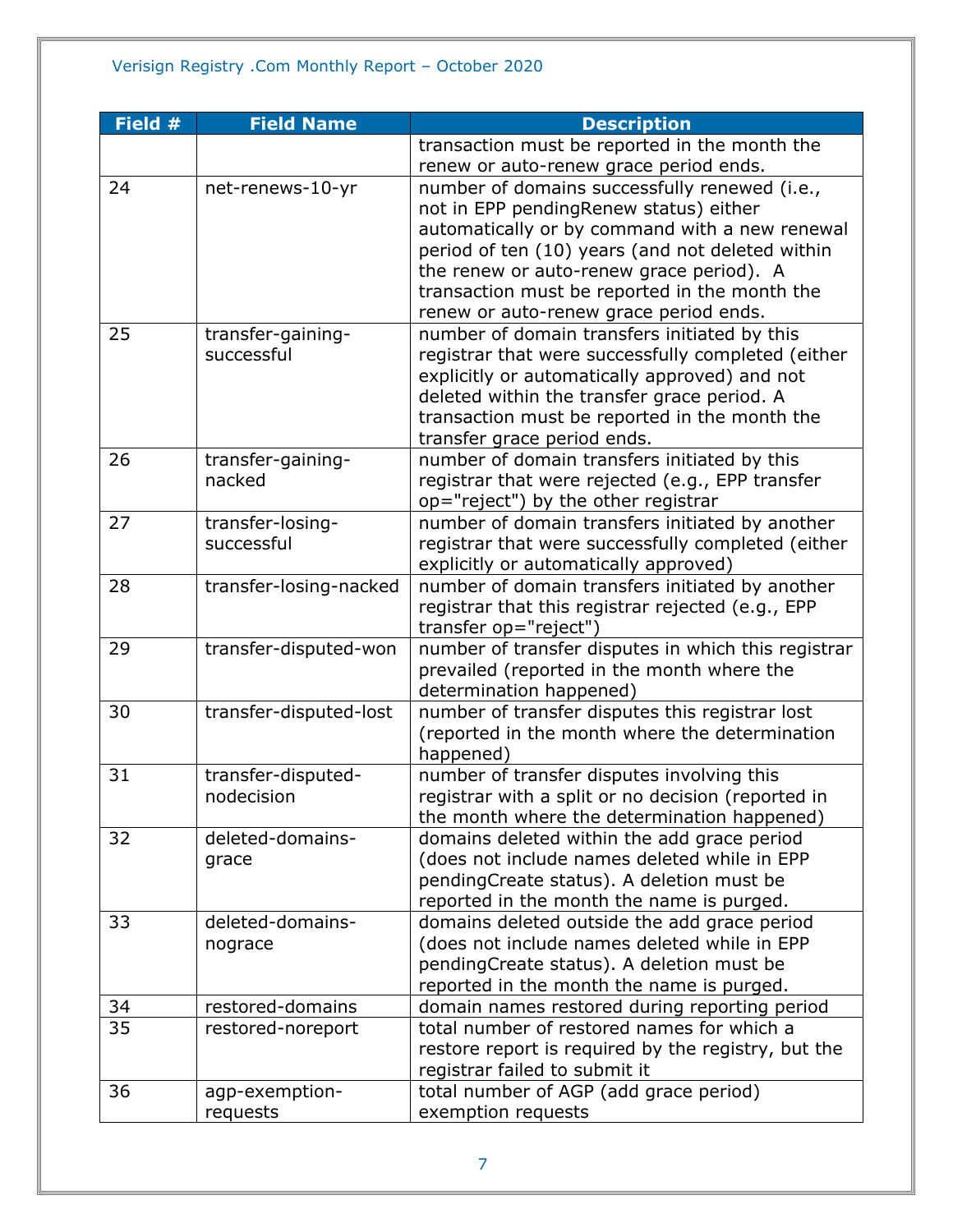| Field # | <b>Field Name</b>      | <b>Description</b>                                  |
|---------|------------------------|-----------------------------------------------------|
|         |                        | transaction must be reported in the month the       |
|         |                        | renew or auto-renew grace period ends.              |
| 24      | net-renews-10-yr       | number of domains successfully renewed (i.e.,       |
|         |                        | not in EPP pendingRenew status) either              |
|         |                        | automatically or by command with a new renewal      |
|         |                        | period of ten (10) years (and not deleted within    |
|         |                        | the renew or auto-renew grace period). A            |
|         |                        | transaction must be reported in the month the       |
|         |                        | renew or auto-renew grace period ends.              |
| 25      | transfer-gaining-      | number of domain transfers initiated by this        |
|         | successful             | registrar that were successfully completed (either  |
|         |                        | explicitly or automatically approved) and not       |
|         |                        | deleted within the transfer grace period. A         |
|         |                        | transaction must be reported in the month the       |
|         |                        | transfer grace period ends.                         |
| 26      | transfer-gaining-      | number of domain transfers initiated by this        |
|         | nacked                 | registrar that were rejected (e.g., EPP transfer    |
|         |                        | op="reject") by the other registrar                 |
| 27      | transfer-losing-       | number of domain transfers initiated by another     |
|         | successful             | registrar that were successfully completed (either  |
|         |                        | explicitly or automatically approved)               |
| 28      | transfer-losing-nacked | number of domain transfers initiated by another     |
|         |                        | registrar that this registrar rejected (e.g., EPP   |
|         |                        | transfer op="reject")                               |
| 29      | transfer-disputed-won  | number of transfer disputes in which this registrar |
|         |                        | prevailed (reported in the month where the          |
|         |                        | determination happened)                             |
| 30      | transfer-disputed-lost | number of transfer disputes this registrar lost     |
|         |                        | (reported in the month where the determination      |
|         |                        | happened)                                           |
| 31      | transfer-disputed-     | number of transfer disputes involving this          |
|         | nodecision             | registrar with a split or no decision (reported in  |
|         |                        | the month where the determination happened)         |
| 32      | deleted-domains-       | domains deleted within the add grace period         |
|         | grace                  | (does not include names deleted while in EPP        |
|         |                        | pendingCreate status). A deletion must be           |
|         |                        | reported in the month the name is purged.           |
| 33      | deleted-domains-       | domains deleted outside the add grace period        |
|         | nograce                | (does not include names deleted while in EPP        |
|         |                        | pendingCreate status). A deletion must be           |
|         |                        | reported in the month the name is purged.           |
| 34      | restored-domains       | domain names restored during reporting period       |
| 35      | restored-noreport      | total number of restored names for which a          |
|         |                        | restore report is required by the registry, but the |
|         |                        | registrar failed to submit it                       |
| 36      | agp-exemption-         | total number of AGP (add grace period)              |
|         | requests               | exemption requests                                  |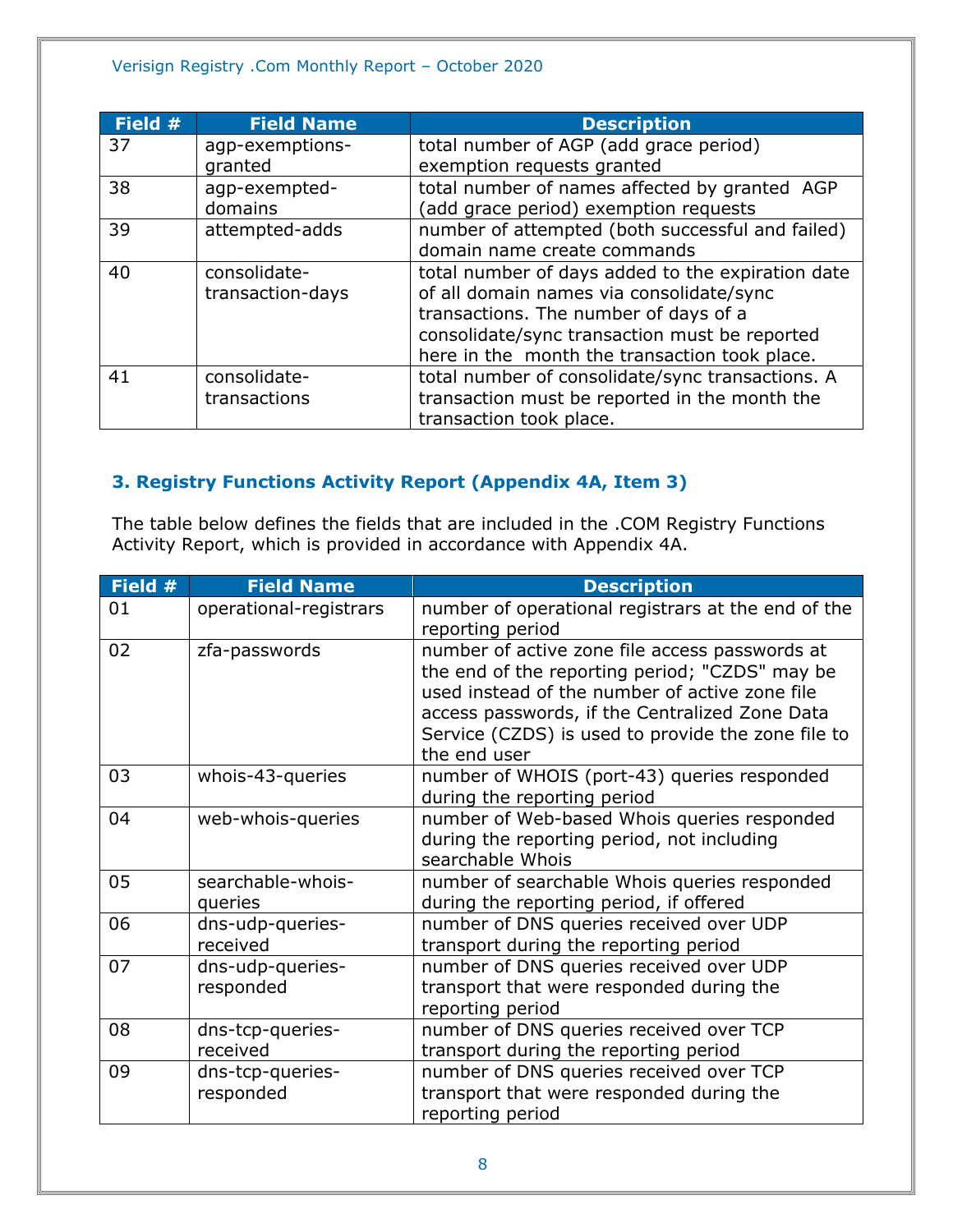#### Verisign Registry .Com Monthly Report – October 2020

| Field # | <b>Field Name</b> | <b>Description</b>                                |
|---------|-------------------|---------------------------------------------------|
| 37      | agp-exemptions-   | total number of AGP (add grace period)            |
|         | granted           | exemption requests granted                        |
| 38      | agp-exempted-     | total number of names affected by granted AGP     |
|         | domains           | (add grace period) exemption requests             |
| 39      | attempted-adds    | number of attempted (both successful and failed)  |
|         |                   | domain name create commands                       |
| 40      | consolidate-      | total number of days added to the expiration date |
|         | transaction-days  | of all domain names via consolidate/sync          |
|         |                   | transactions. The number of days of a             |
|         |                   | consolidate/sync transaction must be reported     |
|         |                   | here in the month the transaction took place.     |
| 41      | consolidate-      | total number of consolidate/sync transactions. A  |
|         | transactions      | transaction must be reported in the month the     |
|         |                   | transaction took place.                           |

# <span id="page-7-0"></span>**3. Registry Functions Activity Report (Appendix 4A, Item 3)**

The table below defines the fields that are included in the .COM Registry Functions Activity Report, which is provided in accordance with Appendix 4A.

| Field # | <b>Field Name</b>             | <b>Description</b>                                                                                                                                                                                                                                                         |
|---------|-------------------------------|----------------------------------------------------------------------------------------------------------------------------------------------------------------------------------------------------------------------------------------------------------------------------|
| 01      | operational-registrars        | number of operational registrars at the end of the<br>reporting period                                                                                                                                                                                                     |
| 02      | zfa-passwords                 | number of active zone file access passwords at<br>the end of the reporting period; "CZDS" may be<br>used instead of the number of active zone file<br>access passwords, if the Centralized Zone Data<br>Service (CZDS) is used to provide the zone file to<br>the end user |
| 03      | whois-43-queries              | number of WHOIS (port-43) queries responded<br>during the reporting period                                                                                                                                                                                                 |
| 04      | web-whois-queries             | number of Web-based Whois queries responded<br>during the reporting period, not including<br>searchable Whois                                                                                                                                                              |
| 05      | searchable-whois-<br>queries  | number of searchable Whois queries responded<br>during the reporting period, if offered                                                                                                                                                                                    |
| 06      | dns-udp-queries-<br>received  | number of DNS queries received over UDP<br>transport during the reporting period                                                                                                                                                                                           |
| 07      | dns-udp-queries-<br>responded | number of DNS queries received over UDP<br>transport that were responded during the<br>reporting period                                                                                                                                                                    |
| 08      | dns-tcp-queries-<br>received  | number of DNS queries received over TCP<br>transport during the reporting period                                                                                                                                                                                           |
| 09      | dns-tcp-queries-<br>responded | number of DNS queries received over TCP<br>transport that were responded during the<br>reporting period                                                                                                                                                                    |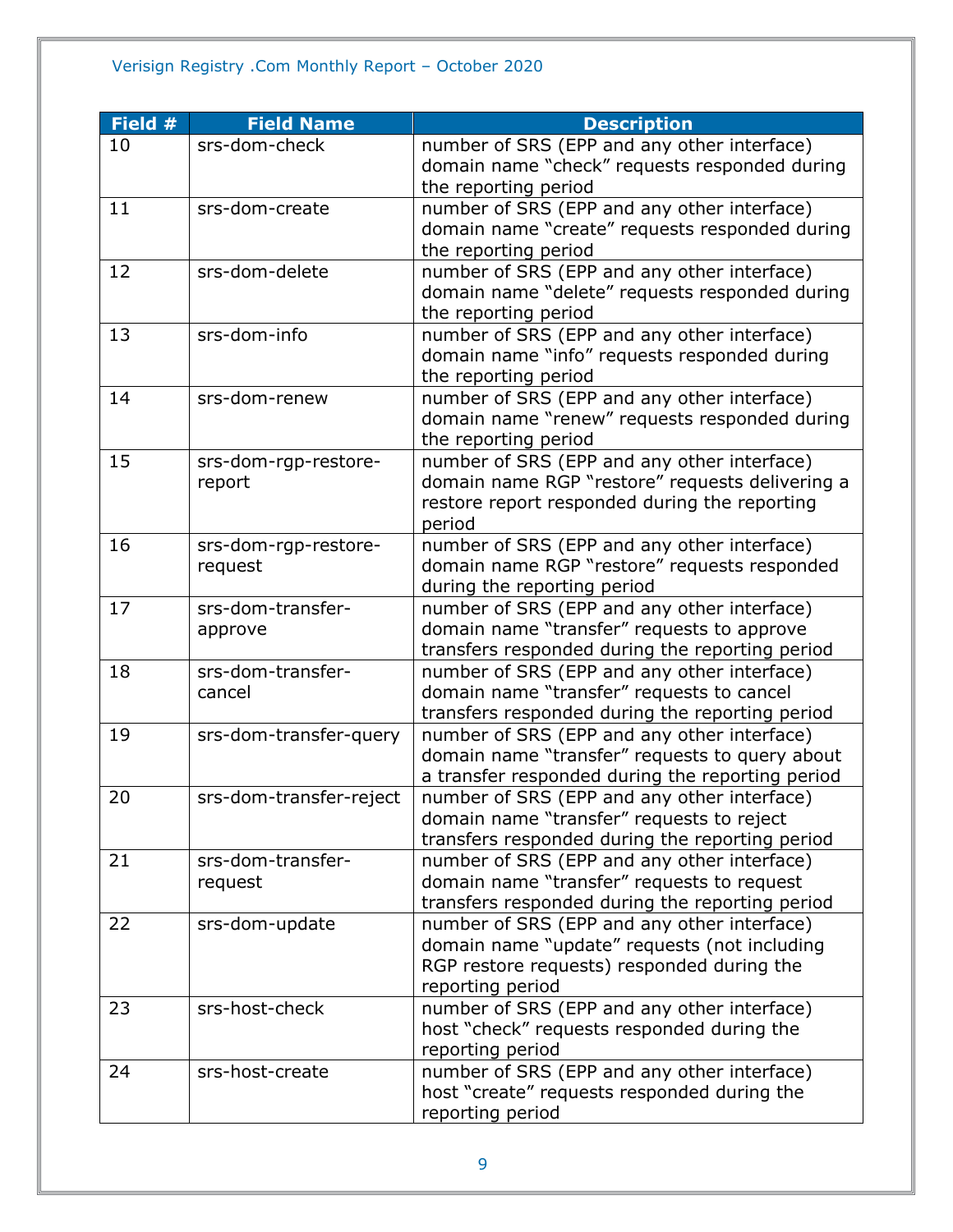# Verisign Registry .Com Monthly Report – October 2020

| Field # | <b>Field Name</b>       | <b>Description</b>                               |
|---------|-------------------------|--------------------------------------------------|
| 10      | srs-dom-check           | number of SRS (EPP and any other interface)      |
|         |                         | domain name "check" requests responded during    |
|         |                         | the reporting period                             |
| 11      | srs-dom-create          | number of SRS (EPP and any other interface)      |
|         |                         | domain name "create" requests responded during   |
|         |                         | the reporting period                             |
| 12      | srs-dom-delete          | number of SRS (EPP and any other interface)      |
|         |                         | domain name "delete" requests responded during   |
|         |                         | the reporting period                             |
| 13      | srs-dom-info            | number of SRS (EPP and any other interface)      |
|         |                         | domain name "info" requests responded during     |
|         |                         | the reporting period                             |
| 14      | srs-dom-renew           | number of SRS (EPP and any other interface)      |
|         |                         | domain name "renew" requests responded during    |
|         |                         | the reporting period                             |
| 15      | srs-dom-rgp-restore-    | number of SRS (EPP and any other interface)      |
|         | report                  | domain name RGP "restore" requests delivering a  |
|         |                         | restore report responded during the reporting    |
|         |                         | period                                           |
| 16      | srs-dom-rgp-restore-    | number of SRS (EPP and any other interface)      |
|         | request                 | domain name RGP "restore" requests responded     |
|         |                         | during the reporting period                      |
| 17      | srs-dom-transfer-       | number of SRS (EPP and any other interface)      |
|         | approve                 | domain name "transfer" requests to approve       |
|         |                         | transfers responded during the reporting period  |
| 18      | srs-dom-transfer-       | number of SRS (EPP and any other interface)      |
|         | cancel                  | domain name "transfer" requests to cancel        |
|         |                         | transfers responded during the reporting period  |
| 19      | srs-dom-transfer-query  | number of SRS (EPP and any other interface)      |
|         |                         | domain name "transfer" requests to query about   |
|         |                         | a transfer responded during the reporting period |
| 20      | srs-dom-transfer-reject | number of SRS (EPP and any other interface)      |
|         |                         | domain name "transfer" requests to reject        |
|         |                         | transfers responded during the reporting period  |
| 21      | srs-dom-transfer-       | number of SRS (EPP and any other interface)      |
|         | request                 | domain name "transfer" requests to request       |
|         |                         | transfers responded during the reporting period  |
| 22      | srs-dom-update          | number of SRS (EPP and any other interface)      |
|         |                         | domain name "update" requests (not including     |
|         |                         | RGP restore requests) responded during the       |
|         |                         | reporting period                                 |
| 23      | srs-host-check          | number of SRS (EPP and any other interface)      |
|         |                         | host "check" requests responded during the       |
| 24      |                         | reporting period                                 |
|         | srs-host-create         | number of SRS (EPP and any other interface)      |
|         |                         | host "create" requests responded during the      |
|         |                         | reporting period                                 |